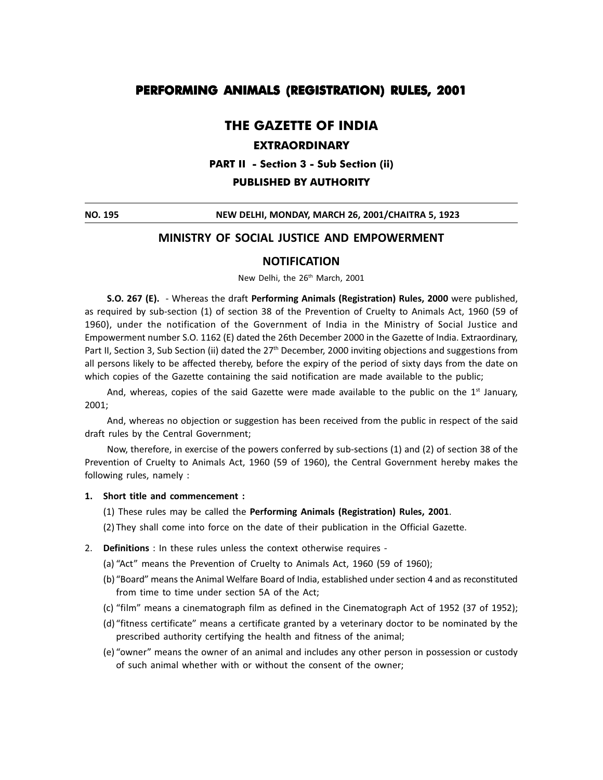# **PERFORMING ANIMALS (REGISTRATION) RULES, 2001**

# **THE GAZETTE OF INDIA**

## **EXTRAORDINARY**

**PART II - Section 3 - Sub Section (ii)**

#### **PUBLISHED BY AUTHORITY**

**NO. 195 NEW DELHI, MONDAY, MARCH 26, 2001/CHAITRA 5, 1923**

## **MINISTRY OF SOCIAL JUSTICE AND EMPOWERMENT**

### **NOTIFICATION**

New Delhi, the 26<sup>th</sup> March, 2001

**S.O. 267 (E).**  - Whereas the draft **Performing Animals (Registration) Rules, 2000** were published, as required by sub-section (1) of section 38 of the Prevention of Cruelty to Animals Act, 1960 (59 of 1960), under the notification of the Government of India in the Ministry of Social Justice and Empowerment number S.O. 1162 (E) dated the 26th December 2000 in the Gazette of India. Extraordinary, Part II, Section 3, Sub Section (ii) dated the 27<sup>th</sup> December, 2000 inviting objections and suggestions from all persons likely to be affected thereby, before the expiry of the period of sixty days from the date on which copies of the Gazette containing the said notification are made available to the public;

And, whereas, copies of the said Gazette were made available to the public on the  $1^{st}$  January, 2001;

And, whereas no objection or suggestion has been received from the public in respect of the said draft rules by the Central Government;

Now, therefore, in exercise of the powers conferred by sub-sections (1) and (2) of section 38 of the Prevention of Cruelty to Animals Act, 1960 (59 of 1960), the Central Government hereby makes the following rules, namely :

#### **1. Short title and commencement :**

- (1) These rules may be called the **Performing Animals (Registration) Rules, 2001**.
- (2) They shall come into force on the date of their publication in the Official Gazette.
- 2. **Definitions** : In these rules unless the context otherwise requires -
	- (a) "Act" means the Prevention of Cruelty to Animals Act, 1960 (59 of 1960);
	- (b) "Board" means the Animal Welfare Board of India, established under section 4 and as reconstituted from time to time under section 5A of the Act;
	- $(c)$  "film" means a cinematograph film as defined in the Cinematograph Act of 1952 (37 of 1952);
	- (d) "fitness certificate" means a certificate granted by a veterinary doctor to be nominated by the prescribed authority certifying the health and fitness of the animal;
	- (e) "owner" means the owner of an animal and includes any other person in possession or custody of such animal whether with or without the consent of the owner;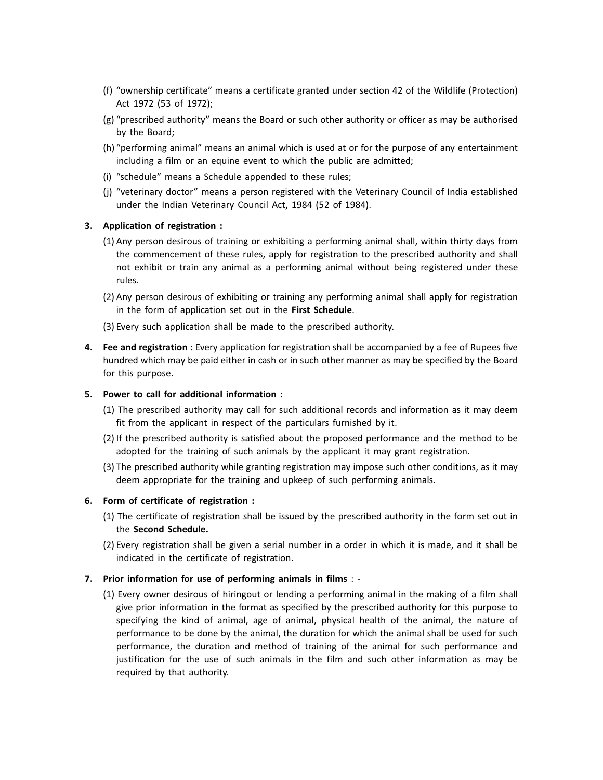- (f) "ownership certificate" means a certificate granted under section 42 of the Wildlife (Protection) Act 1972 (53 of 1972);
- $(g)$  "prescribed authority" means the Board or such other authority or officer as may be authorised by the Board;
- (h) "performing animal" means an animal which is used at or for the purpose of any entertainment including a film or an equine event to which the public are admitted;
- (i) "schedule" means a Schedule appended to these rules;
- (j) "veterinary doctor" means a person registered with the Veterinary Council of India established under the Indian Veterinary Council Act, 1984 (52 of 1984).

### **3. Application of registration :**

- (1) Any person desirous of training or exhibiting a performing animal shall, within thirty days from the commencement of these rules, apply for registration to the prescribed authority and shall not exhibit or train any animal as a performing animal without being registered under these rules.
- (2) Any person desirous of exhibiting or training any performing animal shall apply for registration in the form of application set out in the **First Schedule**.

(3) Every such application shall be made to the prescribed authority.

**4. Fee and registration :** Every application for registration shall be accompanied by a fee of Rupees five hundred which may be paid either in cash or in such other manner as may be specified by the Board for this purpose.

#### **5. Power to call for additional information :**

- (1) The prescribed authority may call for such additional records and information as it may deem fit from the applicant in respect of the particulars furnished by it.
- (2) If the prescribed authority is satisfied about the proposed performance and the method to be adopted for the training of such animals by the applicant it may grant registration.
- (3) The prescribed authority while granting registration may impose such other conditions, as it may deem appropriate for the training and upkeep of such performing animals.

#### **6. Form of certificate of registration :**

- (1) The certificate of registration shall be issued by the prescribed authority in the form set out in the **Second Schedule.**
- (2) Every registration shall be given a serial number in a order in which it is made, and it shall be indicated in the certificate of registration.

#### **7. Prior information for use of performing animals in films** : -

(1) Every owner desirous of hiringout or lending a performing animal in the making of a film shall give prior information in the format as specified by the prescribed authority for this purpose to specifying the kind of animal, age of animal, physical health of the animal, the nature of performance to be done by the animal, the duration for which the animal shall be used for such performance, the duration and method of training of the animal for such performance and justification for the use of such animals in the film and such other information as may be required by that authority.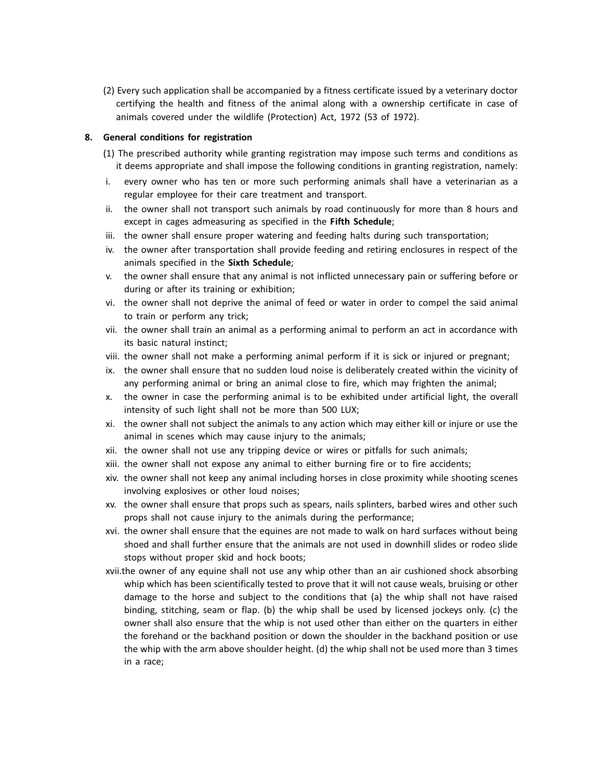(2) Every such application shall be accompanied by a fitness certificate issued by a veterinary doctor certifying the health and fitness of the animal along with a ownership certificate in case of animals covered under the wildlife (Protection) Act, 1972 (53 of 1972).

## **8. General conditions for registration**

- (1) The prescribed authority while granting registration may impose such terms and conditions as it deems appropriate and shall impose the following conditions in granting registration, namely:
- i. every owner who has ten or more such performing animals shall have a veterinarian as a regular employee for their care treatment and transport.
- ii. the owner shall not transport such animals by road continuously for more than 8 hours and except in cages admeasuring as specified in the **Fifth Schedule**;
- iii. the owner shall ensure proper watering and feeding halts during such transportation;
- iv. the owner after transportation shall provide feeding and retiring enclosures in respect of the animals specified in the **Sixth Schedule**;
- v. the owner shall ensure that any animal is not inflicted unnecessary pain or suffering before or during or after its training or exhibition;
- vi. the owner shall not deprive the animal of feed or water in order to compel the said animal to train or perform any trick;
- vii. the owner shall train an animal as a performing animal to perform an act in accordance with its basic natural instinct;
- viii. the owner shall not make a performing animal perform if it is sick or injured or pregnant;
- ix. the owner shall ensure that no sudden loud noise is deliberately created within the vicinity of any performing animal or bring an animal close to fire, which may frighten the animal;
- x. the owner in case the performing animal is to be exhibited under artificial light, the overall intensity of such light shall not be more than 500 LUX;
- xi. the owner shall not subject the animals to any action which may either kill or injure or use the animal in scenes which may cause injury to the animals;
- xii. the owner shall not use any tripping device or wires or pitfalls for such animals;
- xiii. the owner shall not expose any animal to either burning fire or to fire accidents;
- xiv. the owner shall not keep any animal including horses in close proximity while shooting scenes involving explosives or other loud noises;
- xv. the owner shall ensure that props such as spears, nails splinters, barbed wires and other such props shall not cause injury to the animals during the performance;
- xvi. the owner shall ensure that the equines are not made to walk on hard surfaces without being shoed and shall further ensure that the animals are not used in downhill slides or rodeo slide stops without proper skid and hock boots;
- xvii.the owner of any equine shall not use any whip other than an air cushioned shock absorbing whip which has been scientifically tested to prove that it will not cause weals, bruising or other damage to the horse and subject to the conditions that (a) the whip shall not have raised binding, stitching, seam or flap. (b) the whip shall be used by licensed jockeys only. (c) the owner shall also ensure that the whip is not used other than either on the quarters in either the forehand or the backhand position or down the shoulder in the backhand position or use the whip with the arm above shoulder height. (d) the whip shall not be used more than 3 times in a race;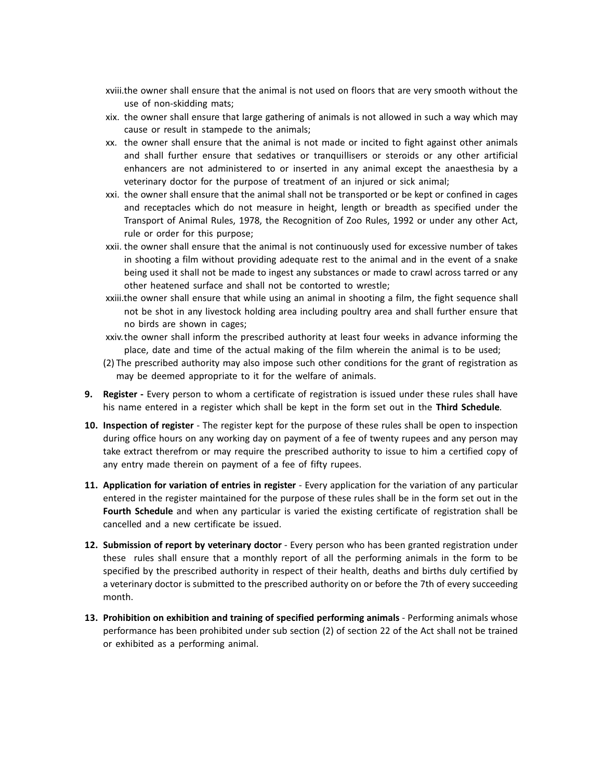- xviii.the owner shall ensure that the animal is not used on floors that are very smooth without the use of non-skidding mats;
- xix. the owner shall ensure that large gathering of animals is not allowed in such a way which may cause or result in stampede to the animals;
- xx. the owner shall ensure that the animal is not made or incited to fight against other animals and shall further ensure that sedatives or tranquillisers or steroids or any other artificial enhancers are not administered to or inserted in any animal except the anaesthesia by a veterinary doctor for the purpose of treatment of an injured or sick animal;
- xxi. the owner shall ensure that the animal shall not be transported or be kept or confined in cages and receptacles which do not measure in height, length or breadth as specified under the Transport of Animal Rules, 1978, the Recognition of Zoo Rules, 1992 or under any other Act, rule or order for this purpose;
- xxii. the owner shall ensure that the animal is not continuously used for excessive number of takes in shooting a film without providing adequate rest to the animal and in the event of a snake being used it shall not be made to ingest any substances or made to crawl across tarred or any other heatened surface and shall not be contorted to wrestle;
- xxiii.the owner shall ensure that while using an animal in shooting a film, the fight sequence shall not be shot in any livestock holding area including poultry area and shall further ensure that no birds are shown in cages;
- xxiv. the owner shall inform the prescribed authority at least four weeks in advance informing the place, date and time of the actual making of the film wherein the animal is to be used;
- (2) The prescribed authority may also impose such other conditions for the grant of registration as may be deemed appropriate to it for the welfare of animals.
- **9.** Register Every person to whom a certificate of registration is issued under these rules shall have his name entered in a register which shall be kept in the form set out in the **Third Schedule**.
- **10. Inspection of register**  The register kept for the purpose of these rules shall be open to inspection during office hours on any working day on payment of a fee of twenty rupees and any person may take extract therefrom or may require the prescribed authority to issue to him a certified copy of any entry made therein on payment of a fee of fifty rupees.
- **11. Application for variation of entries in register** Every application for the variation of any particular entered in the register maintained for the purpose of these rules shall be in the form set out in the **Fourth Schedule** and when any particular is varied the existing certificate of registration shall be cancelled and a new certificate be issued.
- **12. Submission of report by veterinary doctor** Every person who has been granted registration under these rules shall ensure that a monthly report of all the performing animals in the form to be specified by the prescribed authority in respect of their health, deaths and births duly certified by a veterinary doctor is submitted to the prescribed authority on or before the 7th of every succeeding month.
- **13. Prohibition on exhibition and training of specified performing animals** Performing animals whose performance has been prohibited under sub section (2) of section 22 of the Act shall not be trained or exhibited as a performing animal.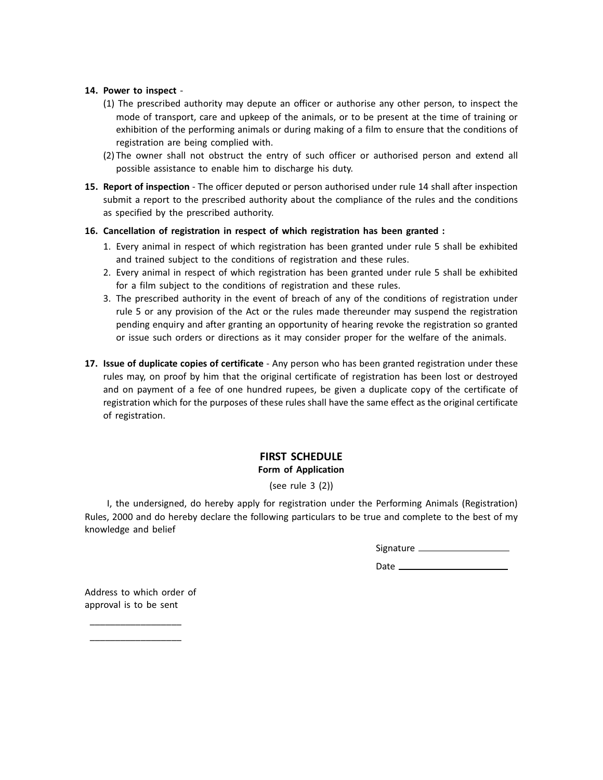### **14. Power to inspect** -

- (1) The prescribed authority may depute an officer or authorise any other person, to inspect the mode of transport, care and upkeep of the animals, or to be present at the time of training or exhibition of the performing animals or during making of a film to ensure that the conditions of registration are being complied with.
- (2) The owner shall not obstruct the entry of such officer or authorised person and extend all possible assistance to enable him to discharge his duty.
- **15. Report of inspection** The officer deputed or person authorised under rule 14 shall after inspection submit a report to the prescribed authority about the compliance of the rules and the conditions as specified by the prescribed authority.

### **16. Cancellation of registration in respect of which registration has been granted :**

- 1. Every animal in respect of which registration has been granted under rule 5 shall be exhibited and trained subject to the conditions of registration and these rules.
- 2. Every animal in respect of which registration has been granted under rule 5 shall be exhibited for a film subject to the conditions of registration and these rules.
- 3. The prescribed authority in the event of breach of any of the conditions of registration under rule 5 or any provision of the Act or the rules made thereunder may suspend the registration pending enquiry and after granting an opportunity of hearing revoke the registration so granted or issue such orders or directions as it may consider proper for the welfare of the animals.
- **17. Issue of duplicate copies of certificate** Any person who has been granted registration under these rules may, on proof by him that the original certificate of registration has been lost or destroyed and on payment of a fee of one hundred rupees, be given a duplicate copy of the certificate of registration which for the purposes of these rules shall have the same effect as the original certificate of registration.

## **FIRST SCHEDULE Form of Application**

# (see rule 3 (2))

I, the undersigned, do hereby apply for registration under the Performing Animals (Registration) Rules, 2000 and do hereby declare the following particulars to be true and complete to the best of my knowledge and belief

Signature

Date

Address to which order of approval is to be sent

\_\_\_\_\_\_\_\_\_\_\_\_\_\_\_\_\_\_ \_\_\_\_\_\_\_\_\_\_\_\_\_\_\_\_\_\_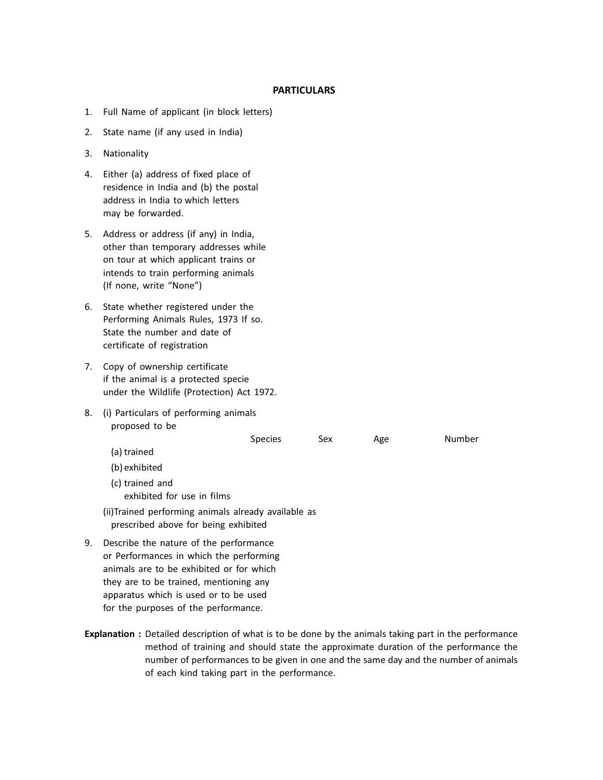### **PARTICULARS**

- 1. Full Name of applicant (in block letters)
- 2. State name (if any used in India)
- 3. Nationality
- 4. Either (a) address of fixed place of residence in India and (b) the postal address in India to which letters may be forwarded.
- 5. Address or address (if any) in India, other than temporary addresses while on tour at which applicant trains or intends to train performing animals (If none, write "None")
- 6. State whether registered under the Performing Animals Rules, 1973 If so. State the number and date of certificate of registration
- 7. Copy of ownership certificate if the animal is a protected specie under the Wildlife (Protection) Act 1972.

apparatus which is used or to be used

8. (i) Particulars of performing animals proposed to be

|    |                                                                                                                               | <b>Species</b> | Sex | Age | Number |
|----|-------------------------------------------------------------------------------------------------------------------------------|----------------|-----|-----|--------|
|    | (a) trained                                                                                                                   |                |     |     |        |
|    | (b) exhibited                                                                                                                 |                |     |     |        |
|    | (c) trained and<br>exhibited for use in films                                                                                 |                |     |     |        |
|    | (ii)Trained performing animals already available as<br>prescribed above for being exhibited                                   |                |     |     |        |
| 9. | Describe the nature of the performance<br>or Performances in which the performing<br>animals are to be exhibited or for which |                |     |     |        |
|    | they are to be trained, mentioning any                                                                                        |                |     |     |        |

for the purposes of the performance. **Explanation :** Detailed description of what is to be done by the animals taking part in the performance method of training and should state the approximate duration of the performance the number of performances to be given in one and the same day and the number of animals

of each kind taking part in the performance.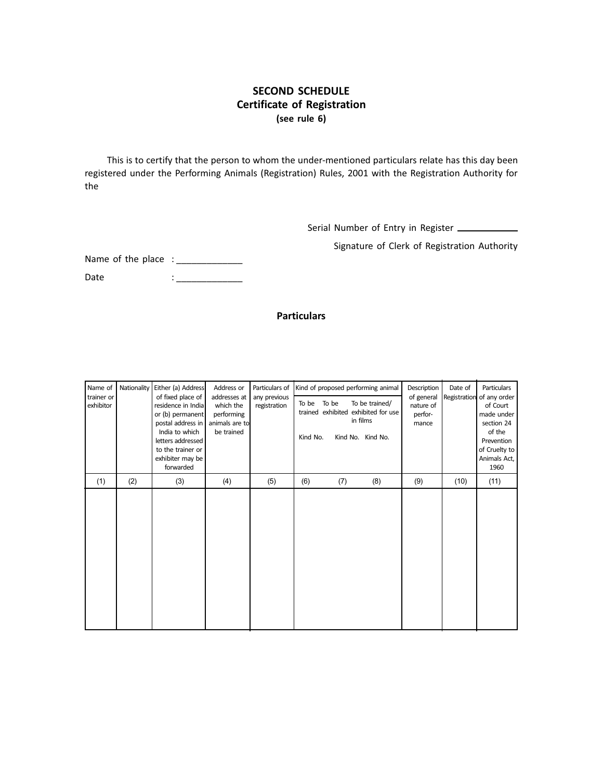# **SECOND SCHEDULE Certificate of Registration (see rule 6)**

This is to certify that the person to whom the under-mentioned particulars relate has this day been registered under the Performing Animals (Registration) Rules, 2001 with the Registration Authority for the

Serial Number of Entry in Register

Signature of Clerk of Registration Authority

Name of the place : \_\_\_\_\_\_\_\_\_\_\_\_\_

Date : \_\_\_\_\_\_\_\_\_\_\_\_\_

## **Particulars**

| Name of                 |     | Nationality   Either (a) Address<br>of fixed place of<br>residence in India<br>or (b) permanent<br>postal address in<br>India to which<br>letters addressed<br>to the trainer or<br>exhibiter may be<br>forwarded | Address or<br>addresses at<br>which the<br>performing<br>animals are to<br>be trained | Particulars of<br>any previous<br>registration | Kind of proposed performing animal |     |                                                                                        | Description                                 | Date of      | <b>Particulars</b>                                                                                                    |
|-------------------------|-----|-------------------------------------------------------------------------------------------------------------------------------------------------------------------------------------------------------------------|---------------------------------------------------------------------------------------|------------------------------------------------|------------------------------------|-----|----------------------------------------------------------------------------------------|---------------------------------------------|--------------|-----------------------------------------------------------------------------------------------------------------------|
| trainer or<br>exhibitor |     |                                                                                                                                                                                                                   |                                                                                       |                                                | To be<br>To be<br>Kind No.         |     | To be trained/<br>trained exhibited exhibited for use<br>in films<br>Kind No. Kind No. | of general<br>nature of<br>perfor-<br>mance | Registration | of any order<br>of Court<br>made under<br>section 24<br>of the<br>Prevention<br>of Cruelty to<br>Animals Act,<br>1960 |
| (1)                     | (2) | (3)                                                                                                                                                                                                               | (4)                                                                                   | (5)                                            | (6)                                | (7) | (8)                                                                                    | (9)                                         | (10)         | (11)                                                                                                                  |
|                         |     |                                                                                                                                                                                                                   |                                                                                       |                                                |                                    |     |                                                                                        |                                             |              |                                                                                                                       |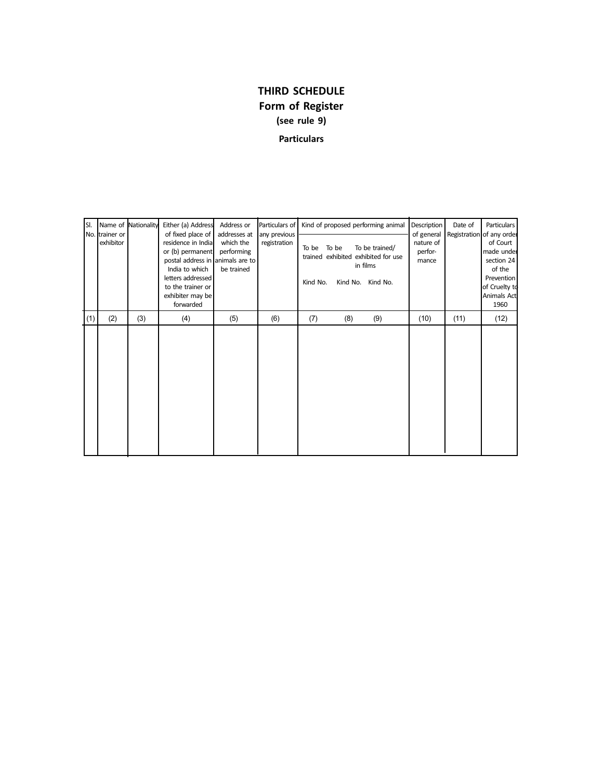# **THIRD SCHEDULE Form of Register (see rule 9) Particulars**

| SI. | No. trainer or | Name of Nationality | Either (a) Address<br>of fixed place of                                                                                                                                 | Address or<br>addresses at            | Particulars of<br>any previous |                            |          | Kind of proposed performing animal                                            | <b>Description</b><br>of general | Date of | Particulars                                                                                                                       |
|-----|----------------|---------------------|-------------------------------------------------------------------------------------------------------------------------------------------------------------------------|---------------------------------------|--------------------------------|----------------------------|----------|-------------------------------------------------------------------------------|----------------------------------|---------|-----------------------------------------------------------------------------------------------------------------------------------|
|     | exhibitor      |                     | residence in India<br>or (b) permanent<br>postal address in animals are to<br>India to which<br>letters addressed<br>to the trainer or<br>exhibiter may be<br>forwarded | which the<br>performing<br>be trained | registration                   | To be<br>To be<br>Kind No. | Kind No. | To be trained/<br>trained exhibited exhibited for use<br>in films<br>Kind No. | nature of<br>perfor-<br>mance    |         | Registration of any order<br>of Court<br>made under<br>section 24<br>of the<br>Prevention<br>of Cruelty to<br>Animals Act<br>1960 |
| (1) | (2)            | (3)                 | (4)                                                                                                                                                                     | (5)                                   | (6)                            | (7)                        | (8)      | (9)                                                                           | (10)                             | (11)    | (12)                                                                                                                              |
|     |                |                     |                                                                                                                                                                         |                                       |                                |                            |          |                                                                               |                                  |         |                                                                                                                                   |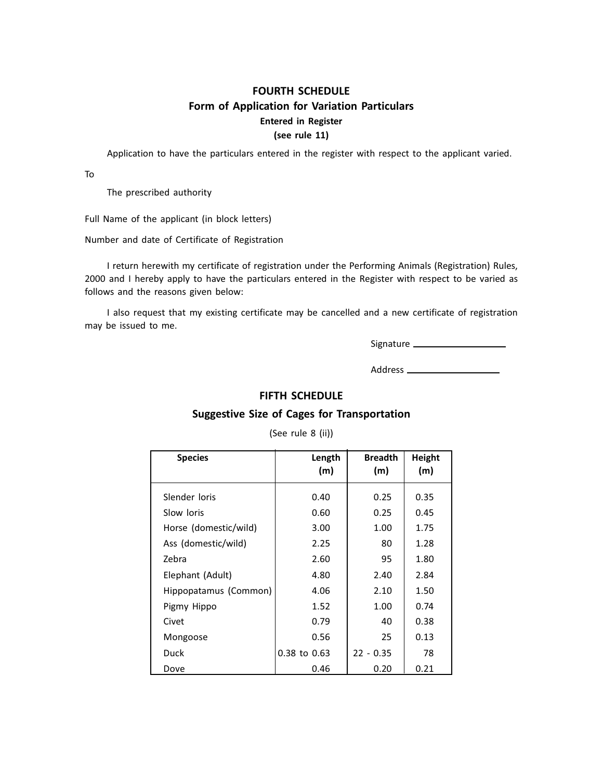# **FOURTH SCHEDULE Form of Application for Variation Particulars Entered in Register (see rule 11)**

Application to have the particulars entered in the register with respect to the applicant varied.

To

The prescribed authority

Full Name of the applicant (in block letters)

Number and date of Certificate of Registration

I return herewith my certificate of registration under the Performing Animals (Registration) Rules, 2000 and I hereby apply to have the particulars entered in the Register with respect to be varied as follows and the reasons given below:

I also request that my existing certificate may be cancelled and a new certificate of registration may be issued to me.

Signature

Address \_\_\_\_\_\_\_\_\_\_\_\_\_\_\_\_\_\_\_\_\_\_

## **FIFTH SCHEDULE**

## **Suggestive Size of Cages for Transportation**

(See rule 8 (ii))

| <b>Species</b>        | Length<br>(m) | <b>Breadth</b><br>(m) | <b>Height</b><br>(m) |
|-----------------------|---------------|-----------------------|----------------------|
| Slender loris         | 0.40          | 0.25                  | 0.35                 |
| Slow loris            | 0.60          | 0.25                  | 0.45                 |
| Horse (domestic/wild) | 3.00          | 1.00                  | 1.75                 |
| Ass (domestic/wild)   | 2.25          | 80                    | 1.28                 |
| Zebra                 | 2.60          | 95                    | 1.80                 |
| Elephant (Adult)      | 4.80          | 2.40                  | 2.84                 |
| Hippopatamus (Common) | 4.06          | 2.10                  | 1.50                 |
| Pigmy Hippo           | 1.52          | 1.00                  | 0.74                 |
| Civet                 | 0.79          | 40                    | 0.38                 |
| Mongoose              | 0.56          | 25                    | 0.13                 |
| <b>Duck</b>           | 0.38 to 0.63  | $22 - 0.35$           | 78                   |
| Dove                  | 0.46          | 0.20                  | 0.21                 |